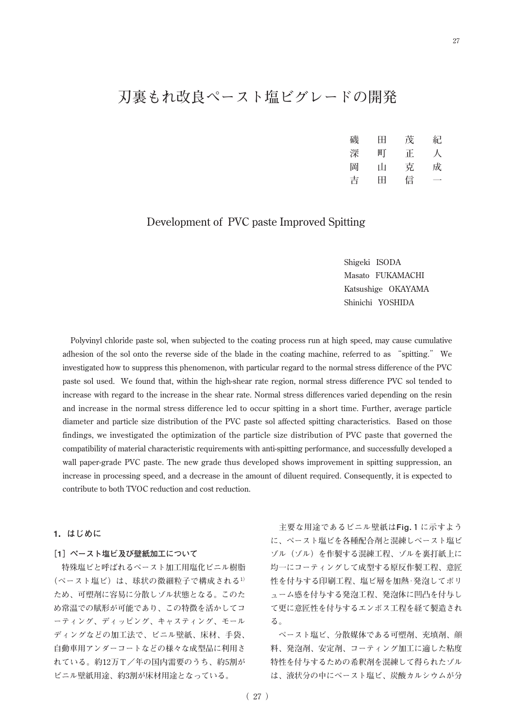# **刃裏もれ改良ペースト塩ビグレードの開発**

| 磯 | Ħ | 茂 | 紀 |
|---|---|---|---|
| 深 | 町 | 正 | 人 |
| 岡 | Ш | 克 | 成 |
| 吉 | Ħ | 信 |   |

# **Development of PVC paste Improved Spitting**

**Shigeki ISODA Masato FUKAMACHI Katsushige OKAYAMA Shinichi YOSHIDA**

**Polyvinyl chloride paste sol, when subjected to the coating process run at high speed, may cause cumulative adhesion of the sol onto the reverse side of the blade in the coating machine, referred to as "spitting." We investigated how to suppress this phenomenon, with particular regard to the normal stress difference of the PVC paste sol used. We found that, within the high-shear rate region, normal stress difference PVC sol tended to increase with regard to the increase in the shear rate. Normal stress differences varied depending on the resin and increase in the normal stress difference led to occur spitting in a short time. Further, average particle diameter and particle size distribution of the PVC paste sol affected spitting characteristics. Based on those findings, we investigated the optimization of the particle size distribution of PVC paste that governed the compatibility of material characteristic requirements with anti-spitting performance, and successfully developed a wall paper-grade PVC paste. The new grade thus developed shows improvement in spitting suppression, an increase in processing speed, and a decrease in the amount of diluent required. Consequently, it is expected to contribute to both TVOC reduction and cost reduction.**

# **1.はじめに**

#### **[1]ペースト塩ビ及び壁紙加工について**

**特殊塩ビと呼ばれるペースト加工用塩化ビニル樹脂 (ペースト塩ビ)は、球状の微細粒子で構成される1) ため、可塑剤に容易に分散しゾル状態となる。このた め常温での賦形が可能であり、この特徴を活かしてコ ーティング、ディッピング、キャスティング、モール ディングなどの加工法で、ビニル壁紙、床材、手袋、 自動車用アンダーコートなどの様々な成型品に利用さ れている。約12万T/年の国内需要のうち、約5割が ビニル壁紙用途、約3割が床材用途となっている。**

**主要な用途であるビニル壁紙はFig.1に示すよう に、ペースト塩ビを各種配合剤と混練しペースト塩ビ ゾル(ゾル)を作製する混練工程、ゾルを裏打紙上に 均一にコーティングして成型する原反作製工程、意匠 性を付与する印刷工程、塩ビ層を加熱・発泡してボリ ューム感を付与する発泡工程、発泡体に凹凸を付与し て更に意匠性を付与するエンボス工程を経て製造され る。**

**ペースト塩ビ、分散媒体である可塑剤、充填剤、顔 料、発泡剤、安定剤、コーティング加工に適した粘度 特性を付与するための希釈剤を混練して得られたゾル は、液状分の中にペースト塩ビ、炭酸カルシウムが分**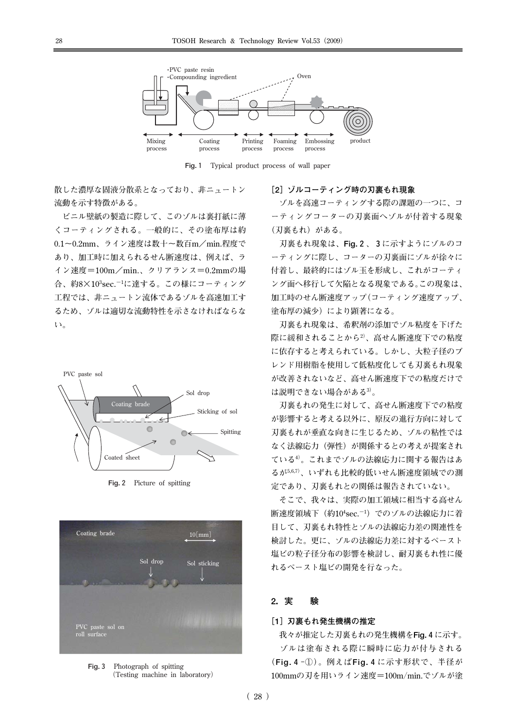

**Fig.1 Typical product process of wall paper**

**散した濃厚な固液分散系となっており、非ニュートン 流動を示す特徴がある。**

**ビニル壁紙の製造に際して、このゾルは裏打紙に薄 くコーティングされる。一般的に、その塗布厚は約 0.1~0.2mm、ライン速度は数十~数百m/min.程度で あり、加工時に加えられるせん断速度は、例えば、ラ イン速度=100m/min.、クリアランス=0.2mmの場 合、約8×10<sup>3</sup> sec.-1に達する。この様にコーティング 工程では、非ニュートン流体であるゾルを高速加工す るため、ゾルは適切な流動特性を示さなければならな い。**



**Fig.2 Picture of spitting**



**Fig.3 Photograph of spitting (Testing machine in laboratory)**

#### **[2]ゾルコーティング時の刃裏もれ現象**

**ゾルを高速コーティングする際の課題の一つに、コ ーティングコーターの刃裏面へゾルが付着する現象 (刃裏もれ)がある。**

**刃裏もれ現象は、Fig.2、3に示すようにゾルのコ ーティングに際し、コーターの刃裏面にゾルが徐々に 付着し、最終的にはゾル玉を形成し、これがコーティ ング面へ移行して欠陥となる現象である。この現象は、 加工時のせん断速度アップ(コーティング速度アップ、 塗布厚の減少)により顕著になる。**

**刃裏もれ現象は、希釈剤の添加でゾル粘度を下げた 際に緩和されることから2)、高せん断速度下での粘度 に依存すると考えられている。しかし、大粒子径のブ レンド用樹脂を使用して低粘度化しても刃裏もれ現象 が改善されないなど、高せん断速度下での粘度だけで は説明できない場合がある3)。**

**刃裏もれの発生に対して、高せん断速度下での粘度 が影響すると考える以外に、原反の進行方向に対して 刃裏もれが垂直な向きに生じるため、ゾルの粘性では なく法線応力(弾性)が関係するとの考えが提案され ている4)。これまでゾルの法線応力に関する報告はあ るが5,6,7)、いずれも比較的低いせん断速度領域での測 定であり、刃裏もれとの関係は報告されていない。**

**そこで、我々は、実際の加工領域に相当する高せん 断速度領域下(約10<sup>4</sup> sec.-1)でのゾルの法線応力に着 目して、刃裏もれ特性とゾルの法線応力差の関連性を 検討した。更に、ゾルの法線応力差に対するペースト 塩ビの粒子径分布の影響を検討し、耐刃裏もれ性に優 れるペースト塩ビの開発を行なった。**

# **2.実 験**

#### **[1]刃裏もれ発生機構の推定**

**我々が推定した刃裏もれの発生機構をFig.4に示す。 ゾルは塗布される際に瞬時に応力が付与される (Fig.4-①)。例えばFig.4に示す形状で、半径が 100mmの刃を用いライン速度=100m/min.でゾルが塗**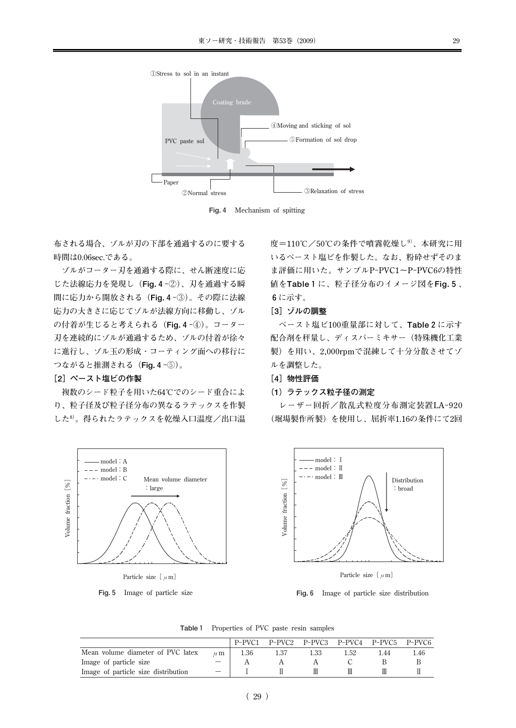

**Fig.4 Mechanism of spitting**

**布される場合、ゾルが刃の下部を通過するのに要する 時間は0.06sec.である。**

**ゾルがコーター刃を通過する際に、せん断速度に応 じた法線応力を発現し(Fig.4-②)、刃を通過する瞬 間に応力から開放される(Fig.4-③)。その際に法線 応力の大きさに応じてゾルが法線方向に移動し、ゾル の付着が生じると考えられる(Fig.4-④)。コーター 刃を連続的にゾルが通過するため、ゾルの付着が徐々 に進行し、ゾル玉の形成・コーティング面への移行に つながると推測される(Fig.4-⑤)。**

#### **[2]ペースト塩ビの作製**

**複数のシード粒子を用いた64℃でのシード重合によ り、粒子径及び粒子径分布の異なるラテックスを作製 した8)。得られたラテックスを乾燥入口温度/出口温**



**Fig.5 Image of particle size**

**度=110℃/50℃の条件で噴霧乾燥し9)、本研究に用 いるペースト塩ビを作製した。なお、粉砕せずそのま ま評価に用いた。サンプルP-PVC1~P-PVC6の特性 値をTable1に、粒子径分布のイメージ図をFig.5、 6に示す。**

# **[3]ゾルの調整**

**ペースト塩ビ100重量部に対して、Table2に示す 配合剤を秤量し、ディスパーミキサー(特殊機化工業 製)を用い、2,000rpmで混練して十分分散させてゾ ルを調整した。**

#### **[4]物性評価**

#### **(1)ラテックス粒子径の測定**

**レーザー回折/散乱式粒度分布測定装置LA-920 (堀場製作所製)を使用し、屈折率1.16の条件にて2回**



**Particle size[μm]**

**Fig.6 Image of particle size distribution**

**Table1 Properties of PVC paste resin samples**

|                                     |         | P-PVC1 | P-PVC2 P-PVC3 P-PVC4 P-PVC5 P-PVC6 |      |      |      |
|-------------------------------------|---------|--------|------------------------------------|------|------|------|
| Mean volume diameter of PVC latex   | $\mu$ m | 1.36   | 1.33                               | 1.52 | l 44 | 1.46 |
| Image of particle size              |         |        |                                    |      |      |      |
| Image of particle size distribution |         |        |                                    |      |      |      |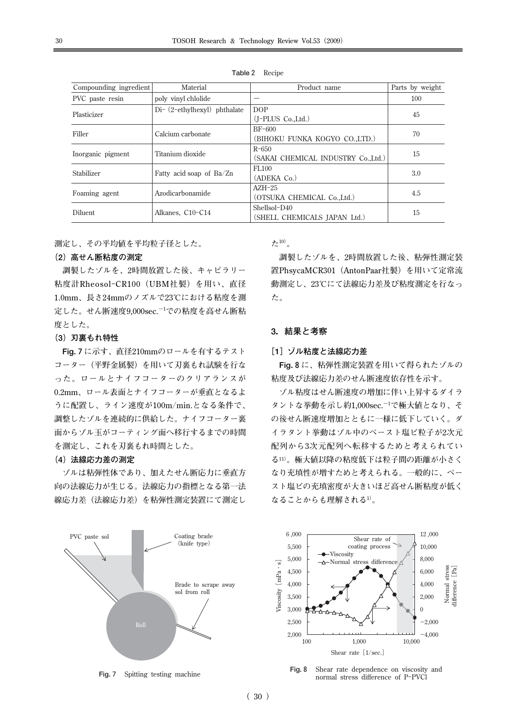| Compounding ingredient | Material                       | Product name                        | Parts by weight |  |
|------------------------|--------------------------------|-------------------------------------|-----------------|--|
| PVC paste resin        | poly vinyl chlolide            |                                     | 100             |  |
| Plasticizer            | $Di-$ (2-ethylhexyl) phthalate | DOP                                 | 45              |  |
|                        |                                | $(J-PLUS Co., Ltd.)$                |                 |  |
| Filler                 | Calcium carbonate              | $BF-600$                            | 70              |  |
|                        |                                | (BIHOKU FUNKA KOGYO COLTD.)         |                 |  |
|                        | $R - 650$                      |                                     |                 |  |
| Inorganic pigment      | Titanium dioxide               | (SAKAI CHEMICAL INDUSTRY Co., Ltd.) | 15              |  |
| Stabilizer             |                                | FL <sub>100</sub>                   |                 |  |
|                        | Fatty acid soap of Ba/Zn       | (ADEKA Co.)                         | 3.0             |  |
|                        |                                | $AZH-25$                            |                 |  |
| Foaming agent          | Azodicarbonamide               | (OTSUKA CHEMICAL Co., Ltd.)         | 4.5             |  |
|                        |                                | Shellsol-D40                        |                 |  |
| Diluent                | Alkanes, C10-C14               | (SHELL CHEMICALS IAPAN Ltd.)        | 15              |  |

**Table2 Recipe**

**測定し、その平均値を平均粒子径とした。**

### **(2)高せん断粘度の測定**

**調製したゾルを、2時間放置した後、キャピラリー 粘度計Rheosol-CR100(UBM社製)を用い、直径 1.0mm、長さ24mmのノズルで23℃における粘度を測 定した。せん断速度9,000sec.-1での粘度を高せん断粘 度とした。**

# **(3)刃裏もれ特性**

**Fig.7に示す、直径210mmのロールを有するテスト コーター(平野金属製)を用いて刃裏もれ試験を行な った。ロールとナイフコーターのクリアランスが 0.2mm、ロール表面とナイフコーターが垂直となるよ うに配置し、ライン速度が100m/min.となる条件で、 調整したゾルを連続的に供給した。ナイフコーター裏 面からゾル玉がコーティング面へ移行するまでの時間 を測定し、これを刃裏もれ時間とした。**

#### **(4)法線応力差の測定**

**ゾルは粘弾性体であり、加えたせん断応力に垂直方 向の法線応力が生じる。法線応力の指標となる第一法 線応力差(法線応力差)を粘弾性測定装置にて測定し**



**Fig.7 Spitting testing machine**

**た10)。**

**調製したゾルを、2時間放置した後、粘弾性測定装 置PhsycaMCR301(AntonPaar社製)を用いて定常流 動測定し、23℃にて法線応力差及び粘度測定を行なっ た。**

# **3.結果と考察**

#### **[1]ゾル粘度と法線応力差**

**Fig.8に、粘弾性測定装置を用いて得られたゾルの 粘度及び法線応力差のせん断速度依存性を示す。**

**ゾル粘度はせん断速度の増加に伴い上昇するダイラ タントな挙動を示し約1,000sec.-1で極大値となり、そ の後せん断速度増加とともに一様に低下していく。ダ イラタント挙動はゾル中のペースト塩ビ粒子が2次元 配列から3次元配列へ転移するためと考えられてい る11)。極大値以降の粘度低下は粒子間の距離が小さく なり充填性が増すためと考えられる。一般的に、ペー スト塩ビの充填密度が大きいほど高せん断粘度が低く なることからも理解される1)。**



**Fig.8 Shear rate dependence on viscosity and normal stress difference of P-PVCl**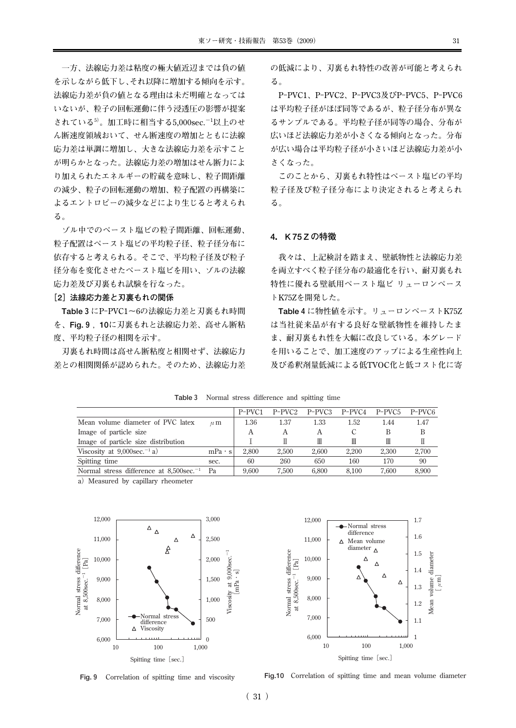**一方、法線応力差は粘度の極大値近辺までは負の値 を示しながら低下し、それ以降に増加する傾向を示す。 法線応力差が負の値となる理由は未だ明確となっては いないが、粒子の回転運動に伴う浸透圧の影響が提案 されている5)。加工時に相当する5,000sec.-1以上のせ ん断速度領域おいて、せん断速度の増加とともに法線 応力差は単調に増加し、大きな法線応力差を示すこと が明らかとなった。法線応力差の増加はせん断力によ り加えられたエネルギーの貯蔵を意味し、粒子間距離 の減少、粒子の回転運動の増加、粒子配置の再構築に よるエントロピーの減少などにより生じると考えられ る。**

**ゾル中でのペースト塩ビの粒子間距離、回転運動、 粒子配置はペースト塩ビの平均粒子径、粒子径分布に 依存すると考えられる。そこで、平均粒子径及び粒子 径分布を変化させたペースト塩ビを用い、ゾルの法線 応力差及び刃裏もれ試験を行なった。**

#### **[2]法線応力差と刃裏もれの関係**

**Table3にP-PVC1~6の法線応力差と刃裏もれ時間 を、Fig.9,10に刃裏もれと法線応力差、高せん断粘 度、平均粒子径の相関を示す。**

**刃裏もれ時間は高せん断粘度と相関せず、法線応力 差との相関関係が認められた。そのため、法線応力差** **の低減により、刃裏もれ特性の改善が可能と考えられ る。**

**P-PVC1、P-PVC2、P-PVC3及びP-PVC5、P-PVC6 は平均粒子径がほぼ同等であるが、粒子径分布が異な るサンプルである。平均粒子径が同等の場合、分布が 広いほど法線応力差が小さくなる傾向となった。分布 が広い場合は平均粒子径が小さいほど法線応力差が小 さくなった。**

**このことから、刃裏もれ特性はペースト塩ビの平均 粒子径及び粒子径分布により決定されると考えられ る。**

#### **4.K75Zの特徴**

**我々は、上記検討を踏まえ、壁紙物性と法線応力差 を両立すべく粒子径分布の最適化を行い、耐刃裏もれ 特性に優れる壁紙用ペースト塩ビ リューロンペース トK75Zを開発した。**

**Table4に物性値を示す。リューロンペーストK75Z は当社従来品が有する良好な壁紙物性を維持したま ま、耐刃裏もれ性を大幅に改良している。本グレード を用いることで、加工速度のアップによる生産性向上 及び希釈剤量低減による低TVOC化と低コスト化に寄**

|                                                        |               | P-PVC1 | $P-PVC2$ | $P-PVC3$ | $P-PVC4$ | $P-PVC5$ | P-PVC <sub>6</sub> |
|--------------------------------------------------------|---------------|--------|----------|----------|----------|----------|--------------------|
| Mean volume diameter of PVC latex                      | $\mu$ m       | 1.36   | 1.37     | 1.33     | 1.52     | 1.44     | 1.47               |
| Image of particle size                                 |               | А      |          | А        |          |          | B                  |
| Image of particle size distribution                    |               |        |          | Ш        | Ш        | Ш        |                    |
| Viscosity at $9,000$ sec. <sup>-1</sup> a)             | $mPa \cdot s$ | 2.800  | 2.500    | 2.600    | 2.200    | 2.300    | 2.700              |
| Spitting time                                          | sec.          | 60     | 260      | 650      | 160      | 170      | 90                 |
| Normal stress difference at $8,500$ sec. <sup>-1</sup> | Pa            | 9.600  | 7.500    | 6.800    | 8.100    | 7.600    | 8.900              |
|                                                        |               |        |          |          |          |          |                    |

**Table3 Normal stress difference and spitting time**

a) Measured by capillary rheometer





**Fig.9 Correlation of spitting time and viscosity**

**Fig.10 Correlation of spitting time and mean volume diameter**